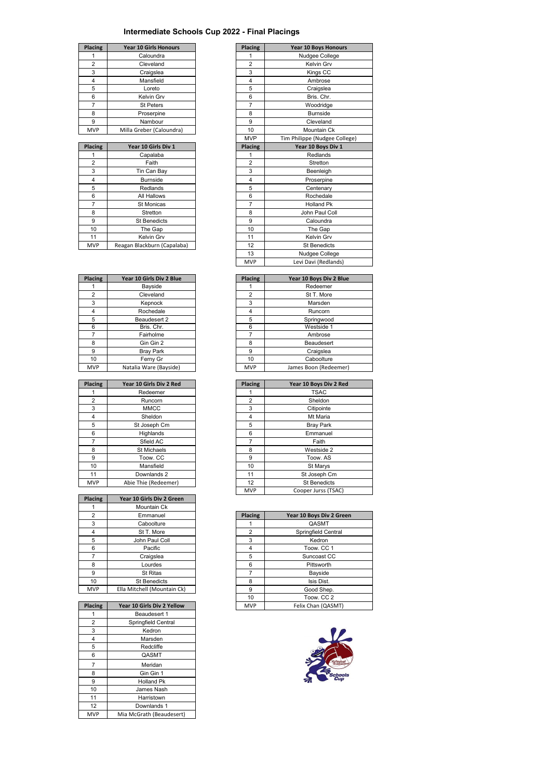## **Intermediate Schools Cup 2022 - Final Placings**

| Placing        | <b>Year 10 Girls Honours</b> | <b>Placing</b> | Year 10 Boys Hor |
|----------------|------------------------------|----------------|------------------|
|                | Caloundra                    |                | Nudgee Coller    |
| $\overline{2}$ | Cleveland                    | 2              | Kelvin Grv       |
| 3              | Craigslea                    | 3              | Kings CC         |
| 4              | Mansfield                    | 4              | Ambrose          |
| 5              | Loreto                       | 5              | Craigslea        |
| 6              | Kelvin Grv                   | 6              | Bris. Chr.       |
|                | <b>St Peters</b>             |                | Woodridge        |
| 8              | Proserpine                   | 8              | <b>Burnside</b>  |
| 9              | Nambour                      | 9              | Cleveland        |
| <b>MVP</b>     | Milla Greber (Caloundra)     | 10             | Mountain Ck      |

|            |                             |                | . ppc aance co      |
|------------|-----------------------------|----------------|---------------------|
| Placing    | Year 10 Girls Div 1         | Placing        | Year 10 Boys Div 1  |
|            | Capalaba                    |                | Redlands            |
| 2          | Faith                       | $\overline{2}$ | Stretton            |
| 3          | Tin Can Bay                 | 3              | Beenleigh           |
| 4          | <b>Burnside</b>             | 4              | Proserpine          |
| 5          | Redlands                    | 5              | Centenary           |
| 6          | All Hallows                 | 6              | Rochedale           |
| 7          | <b>St Monicas</b>           | 7              | <b>Holland Pk</b>   |
| 8          | Stretton                    | 8              | John Paul Coll      |
| 9          | <b>St Benedicts</b>         | 9              | Caloundra           |
| 10         | The Gap                     | 10             | The Gap             |
| 11         | Kelvin Grv                  | 11             | Kelvin Grv          |
| <b>MVP</b> | Reagan Blackburn (Capalaba) | 12             | <b>St Benedicts</b> |

| Year 10 Girls Div 2 Blue | Placing        | Year 10 Boys Div |
|--------------------------|----------------|------------------|
| Bayside                  |                | Redeemer         |
| Cleveland                | $\overline{2}$ | St T. More       |
| Kepnock                  | 3              | Marsden          |
| Rochedale                | 4              | Runcorn          |
| Beaudesert 2             | 5              | Springwood       |
| Bris, Chr.               | 6              | Westside 1       |
| Fairholme                |                | Ambrose          |
| Gin Gin 2                | 8              | Beaudesert       |
| <b>Bray Park</b>         | 9              | Craigslea        |
| Ferny Gr                 | 10             | Caboolture       |
| Natalia Ware (Bayside)   | <b>MVP</b>     | James Boon (Rede |
|                          |                |                  |

| Placing        | Year 10 Girls Div 2 Red | Placing | Year 10 Boys Div 2  |
|----------------|-------------------------|---------|---------------------|
|                | Redeemer                |         | <b>TSAC</b>         |
| $\overline{2}$ | Runcorn                 | 2       | Sheldon             |
| 3              | <b>MMCC</b>             | 3       | Citipointe          |
| 4              | Sheldon                 | 4       | Mt Maria            |
| 5              | St Joseph Cm            | 5       | <b>Bray Park</b>    |
| 6              | Highlands               | 6       | Emmanuel            |
|                | Sfield AC               |         | Faith               |
| 8              | St Michaels             | 8       | Westside 2          |
| 9              | Toow, CC                | 9       | Toow, AS            |
| 10             | Mansfield               | 10      | St Marys            |
| 11             | Downlands 2             | 11      | St Joseph Cm        |
| <b>MVP</b>     | Abie Thie (Redeemer)    | 12      | <b>St Benedicts</b> |

| Placing        | Year 10 Girls Div 2 Green   |
|----------------|-----------------------------|
|                | Mountain Ck                 |
| $\overline{2}$ | Emmanuel                    |
| 3              | Caboolture                  |
| 4              | St T. More                  |
| 5              | John Paul Coll              |
| 6              | Pacific                     |
|                | Craigslea                   |
| 8              | Lourdes                     |
| 9              | <b>St Ritas</b>             |
| 10             | <b>St Benedicts</b>         |
| <b>MVP</b>     | Ella Mitchell (Mountain Ck) |
|                |                             |

| Placing        | Year 10 Girls Div 2 Yellow |
|----------------|----------------------------|
|                | Beaudesert 1               |
| $\overline{2}$ | Springfield Central        |
| 3              | Kedron                     |
| 4              | Marsden                    |
| 5              | Redcliffe                  |
| 6              | QASMT                      |
| 7              | Meridan                    |
| 8              | Gin Gin 1                  |
| 9              | <b>Holland Pk</b>          |
| 10             | James Nash                 |
| 11             | Harristown                 |
| 12             | Downlands 1                |
| <b>MVP</b>     | Mia McGrath (Beaudesert)   |

| Placing        | <b>Year 10 Girls Honours</b> | Placing        | <b>Year 10 Boys Honours</b>   |
|----------------|------------------------------|----------------|-------------------------------|
| 1              | Caloundra                    | 1              | Nudgee College                |
| $\overline{2}$ | Cleveland                    | $\overline{2}$ | Kelvin Grv                    |
| 3              | Craigslea                    | 3              | Kings CC                      |
| 4              | Mansfield                    | $\overline{4}$ | Ambrose                       |
| 5              | Loreto                       | 5              | Craigslea                     |
| 6              | Kelvin Grv                   | 6              | Bris, Chr.                    |
| $\overline{7}$ | <b>St Peters</b>             | 7              | Woodridge                     |
| 8              | Proserpine                   | 8              | <b>Burnside</b>               |
| 9              | Nambour                      | 9              | Cleveland                     |
| <b>MVP</b>     | Milla Greber (Caloundra)     | 10             | Mountain Ck                   |
|                |                              | <b>MVP</b>     | Tim Philippe (Nudgee College) |
| Placing        | Year 10 Girls Div 1          | Placing        | Year 10 Boys Div 1            |
| 1              | Capalaba                     | 1              | Redlands                      |
| $\overline{2}$ | Faith                        | $\overline{2}$ | Stretton                      |
| 3              | Tin Can Bay                  | 3              | Beenleigh                     |
| 4              | <b>Burnside</b>              | 4              | Proserpine                    |
| 5              | Redlands                     | 5              | Centenary                     |
| 6              | All Hallows                  | 6              | Rochedale                     |
| $\overline{7}$ | <b>St Monicas</b>            | 7              | <b>Holland Pk</b>             |
| 8              | Stretton                     | 8              | John Paul Coll                |
| 9              | <b>St Benedicts</b>          | 9              | Caloundra                     |
| 10             | The Gap                      | 10             | The Gap                       |
| 11             | Kelvin Grv                   | 11             | Kelvin Grv                    |
| <b>MVP</b>     | Reagan Blackburn (Capalaba)  | 12             | <b>St Benedicts</b>           |
|                |                              | 13             | Nudgee College                |
|                |                              | <b>MVP</b>     | Levi Davi (Redlands)          |

| <b>Placing</b> | Year 10 Girls Div 2 Blue | <b>Placing</b> | Year 10 Boys Div 2 Blue |
|----------------|--------------------------|----------------|-------------------------|
|                | Bayside                  |                | Redeemer                |
| $\overline{2}$ | Cleveland                | $\overline{2}$ | St T. More              |
| 3              | Kepnock                  | 3              | Marsden                 |
| 4              | Rochedale                | 4              | Runcorn                 |
| 5              | Beaudesert 2             | 5              | Springwood              |
| 6              | Bris, Chr.               | 6              | Westside 1              |
|                | Fairholme                |                | Ambrose                 |
| 8              | Gin Gin 2                | 8              | Beaudesert              |
| 9              | <b>Bray Park</b>         | 9              | Craigslea               |
| 10             | Ferny Gr                 | 10             | Caboolture              |
| <b>MVP</b>     | Natalia Ware (Bayside)   | <b>MVP</b>     | James Boon (Redeemer)   |

| <b>Placing</b> | Year 10 Girls Div 2 Red | Placing        | Year 10 Boys Div 2 Red |
|----------------|-------------------------|----------------|------------------------|
|                | Redeemer                |                | <b>TSAC</b>            |
| $\overline{2}$ | Runcorn                 | $\overline{2}$ | Sheldon                |
| 3              | <b>MMCC</b>             | 3              | Citipointe             |
| 4              | Sheldon                 | 4              | Mt Maria               |
| 5              | St Joseph Cm            | 5              | <b>Bray Park</b>       |
| 6              | Highlands               | 6              | Emmanuel               |
| 7              | Sfield AC               | 7              | Faith                  |
| 8              | St Michaels             | 8              | Westside 2             |
| 9              | Toow, CC                | 9              | Toow, AS               |
| 10             | Mansfield               | 10             | St Marys               |
| 11             | Downlands 2             | 11             | St Joseph Cm           |
| <b>MVP</b>     | Abie Thie (Redeemer)    | 12             | <b>St Benedicts</b>    |
|                |                         | <b>MVP</b>     | Cooper Jurss (TSAC)    |

| $\overline{2}$ | Emmanuel                    | Placing    | Year 10 Boys Div 2 Green |
|----------------|-----------------------------|------------|--------------------------|
| 3              | Caboolture                  |            | QASMT                    |
| 4              | St T. More                  | 2          | Springfield Central      |
| 5              | John Paul Coll              | 3          | Kedron                   |
| 6              | Pacific                     | 4          | Toow. CC 1               |
| $\overline{7}$ | Craigslea                   | 5          | Suncoast CC              |
| 8              | Lourdes                     | 6          | Pittsworth               |
| 9              | <b>St Ritas</b>             |            | Bayside                  |
| 10             | <b>St Benedicts</b>         | 8          | Isis Dist.               |
| <b>NP</b>      | Ella Mitchell (Mountain Ck) | 9          | Good Shep.               |
|                |                             | 10         | Toow. CC 2               |
| cing           | Year 10 Girls Div 2 Yellow  | <b>MVP</b> | Felix Chan (QASMT)       |
|                |                             |            |                          |